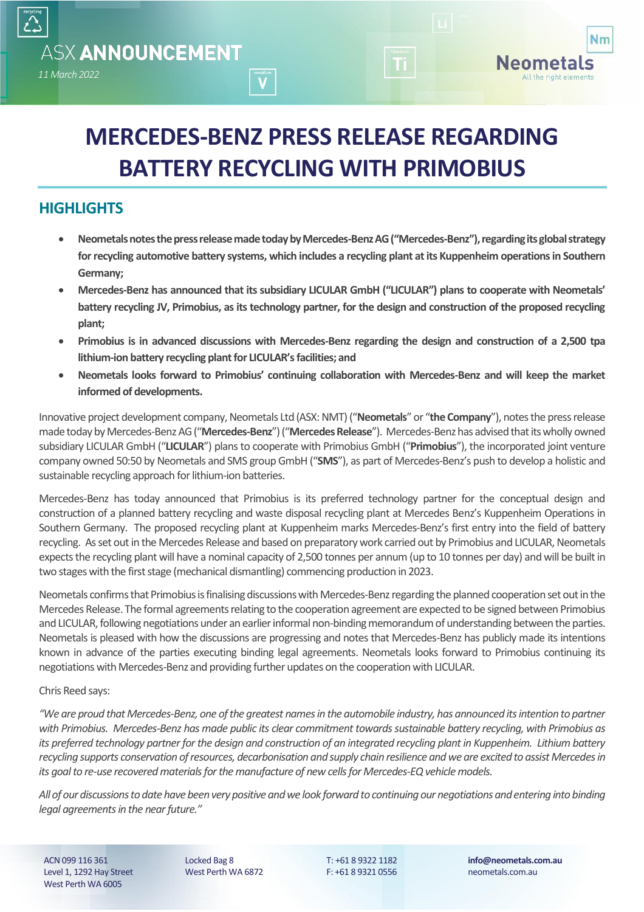# **MERCEDES-BENZ PRESS RELEASE REGARDING BATTERY RECYCLING WITH PRIMOBIUS**

 $\overline{\mathbf{V}}$ 

# **HIGHLIGHTS**

*11 March 2022* 

**ASX ANNOUNCEMENT** 

- **Neometals notes the press release made today by Mercedes-Benz AG ("Mercedes-Benz"), regarding its global strategy for recycling automotive battery systems, which includes a recycling plant at its Kuppenheim operations in Southern Germany;**
- **Mercedes-Benz has announced that its subsidiary LICULAR GmbH ("LICULAR") plans to cooperate with Neometals' battery recycling JV, Primobius, as its technology partner, for the design and construction of the proposed recycling plant;**
- **Primobius is in advanced discussions with Mercedes-Benz regarding the design and construction of a 2,500 tpa lithium-ion battery recycling plant for LICULAR's facilities; and**
- **Neometals looks forward to Primobius' continuing collaboration with Mercedes-Benz and will keep the market informed of developments.**

Innovative project development company, Neometals Ltd (ASX: NMT) ("**Neometals**" or "**the Company**"), notes the press release made today by Mercedes-Benz AG("**Mercedes-Benz**")("**Mercedes Release**"). Mercedes-Benz has advised that its wholly owned subsidiary LICULAR GmbH ("**LICULAR**") plans to cooperate with Primobius GmbH ("**Primobius**"), the incorporated joint venture company owned 50:50 by Neometals and SMS group GmbH ("**SMS**"), as part of Mercedes-Benz's push to develop a holistic and sustainable recycling approach for lithium-ion batteries.

Mercedes-Benz has today announced that Primobius is its preferred technology partner for the conceptual design and construction of a planned battery recycling and waste disposal recycling plant at Mercedes Benz's Kuppenheim Operations in Southern Germany. The proposed recycling plant at Kuppenheim marks Mercedes-Benz's first entry into the field of battery recycling. As set out in the Mercedes Release and based on preparatory work carried out by Primobius and LICULAR, Neometals expects the recycling plant will have a nominal capacity of 2,500 tonnes per annum (up to 10 tonnes per day) and will be built in two stages with the first stage (mechanical dismantling) commencing production in 2023.

Neometals confirms that Primobius is finalising discussions with Mercedes-Benz regarding the planned cooperation set out in the Mercedes Release. The formal agreements relating to the cooperation agreement are expected to be signed between Primobius and LICULAR, following negotiations under an earlier informal non-binding memorandum of understanding between the parties. Neometals is pleased with how the discussions are progressing and notes that Mercedes-Benz has publicly made its intentions known in advance of the parties executing binding legal agreements. Neometals looks forward to Primobius continuing its negotiations with Mercedes-Benz and providing further updates on the cooperation with LICULAR.

## Chris Reed says:

*"We are proud that Mercedes-Benz, one of the greatest names in the automobile industry, has announced its intention to partner with Primobius. Mercedes-Benz has made public its clear commitment towards sustainable battery recycling, with Primobius as its preferred technology partner for the design and construction of an integrated recycling plant in Kuppenheim. Lithium battery recycling supports conservation of resources, decarbonisation and supply chain resilience and we are excited to assist Mercedes in its goal to re-use recovered materials for the manufacture of new cells for Mercedes-EQ vehicle models.* 

*All of our discussions to date have been very positive and we look forward to continuing our negotiations and entering into binding legal agreements in the near future."*

ACN 099 116 361 Level 1, 1292 Hay Street West Perth WA 6005

Locked Bag 8 West Perth WA 6872 T: +61 8 9322 1182 F: +61 8 9321 0556

**info@neometals.com.au** neometals.com.au

Nm

Neometals All the right elements